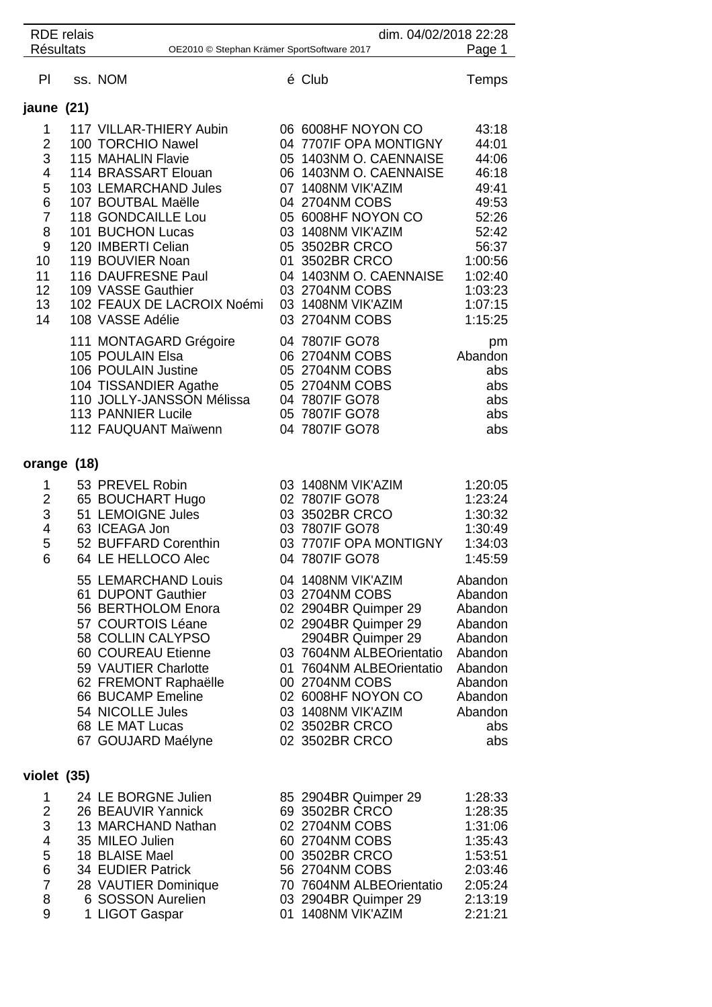| <b>RDE</b> relais<br><b>Résultats</b>                                                                      |  | dim. 04/02/2018 22:28<br>Page 1<br>OE2010 © Stephan Krämer SportSoftware 2017                                                                                                                                                                                                                                                                       |  |                                                                                                                                                                                                                                                                                                                                |                                                                                                                                            |  |  |  |  |
|------------------------------------------------------------------------------------------------------------|--|-----------------------------------------------------------------------------------------------------------------------------------------------------------------------------------------------------------------------------------------------------------------------------------------------------------------------------------------------------|--|--------------------------------------------------------------------------------------------------------------------------------------------------------------------------------------------------------------------------------------------------------------------------------------------------------------------------------|--------------------------------------------------------------------------------------------------------------------------------------------|--|--|--|--|
| PI                                                                                                         |  | ss. NOM                                                                                                                                                                                                                                                                                                                                             |  | é Club                                                                                                                                                                                                                                                                                                                         | Temps                                                                                                                                      |  |  |  |  |
| jaune (21)                                                                                                 |  |                                                                                                                                                                                                                                                                                                                                                     |  |                                                                                                                                                                                                                                                                                                                                |                                                                                                                                            |  |  |  |  |
| 1<br>$\overline{2}$<br>$\sqrt{3}$<br>4<br>5<br>6<br>$\overline{7}$<br>8<br>9<br>10<br>11<br>12<br>13<br>14 |  | 117 VILLAR-THIERY Aubin<br>100 TORCHIO Nawel<br>115 MAHALIN Flavie<br>114 BRASSART Elouan<br>103 LEMARCHAND Jules<br>107 BOUTBAL Maëlle<br>118 GONDCAILLE Lou<br>101 BUCHON Lucas<br>120 IMBERTI Celian<br>119 BOUVIER Noan<br>116 DAUFRESNE Paul<br>109 VASSE Gauthier<br>102 FEAUX DE LACROIX Noémi<br>108 VASSE Adélie<br>111 MONTAGARD Grégoire |  | 06 6008HF NOYON CO<br>04 7707IF OPA MONTIGNY<br>05 1403NM O. CAENNAISE<br>06 1403NM O. CAENNAISE<br>07 1408NM VIK'AZIM<br>04 2704NM COBS<br>05 6008HF NOYON CO<br>03 1408NM VIK'AZIM<br>05 3502BR CRCO<br>01 3502BR CRCO<br>04 1403NM O. CAENNAISE<br>03 2704NM COBS<br>03 1408NM VIK'AZIM<br>03 2704NM COBS<br>04 7807IF GO78 | 43:18<br>44:01<br>44:06<br>46:18<br>49:41<br>49:53<br>52:26<br>52:42<br>56:37<br>1:00:56<br>1:02:40<br>1:03:23<br>1:07:15<br>1:15:25<br>pm |  |  |  |  |
|                                                                                                            |  | 105 POULAIN Elsa<br>106 POULAIN Justine<br>104 TISSANDIER Agathe<br>110 JOLLY-JANSSON Mélissa<br>113 PANNIER Lucile<br>112 FAUQUANT Maïwenn                                                                                                                                                                                                         |  | 06 2704NM COBS<br>05 2704NM COBS<br>05 2704NM COBS<br>04 7807IF GO78<br>05 7807IF GO78<br>04 7807IF GO78                                                                                                                                                                                                                       | Abandon<br>abs<br>abs<br>abs<br>abs<br>abs                                                                                                 |  |  |  |  |
| orange (18)                                                                                                |  |                                                                                                                                                                                                                                                                                                                                                     |  |                                                                                                                                                                                                                                                                                                                                |                                                                                                                                            |  |  |  |  |
| 1<br>$\overline{2}$<br>3<br>$\overline{4}$<br>5<br>6                                                       |  | 53 PREVEL Robin<br>65 BOUCHART Hugo<br>51 LEMOIGNE Jules<br>63 ICEAGA Jon<br>52 BUFFARD Corenthin<br>64 LE HELLOCO Alec                                                                                                                                                                                                                             |  | 03 1408NM VIK'AZIM<br>02 7807IF GO78<br>03 3502BR CRCO<br>03 7807IF GO78<br>03 7707IF OPA MONTIGNY<br>04 7807IF GO78                                                                                                                                                                                                           | 1:20:05<br>1:23:24<br>1:30:32<br>1:30:49<br>1:34:03<br>1:45:59                                                                             |  |  |  |  |
|                                                                                                            |  | 55 LEMARCHAND Louis<br>61 DUPONT Gauthier<br>56 BERTHOLOM Enora<br>57 COURTOIS Léane<br>58 COLLIN CALYPSO<br>60 COUREAU Etienne<br>59 VAUTIER Charlotte<br>62 FREMONT Raphaëlle<br>66 BUCAMP Emeline<br>54 NICOLLE Jules<br>68 LE MAT Lucas<br>67 GOUJARD Maélyne                                                                                   |  | 04 1408NM VIK'AZIM<br>03 2704NM COBS<br>02 2904BR Quimper 29<br>02 2904BR Quimper 29<br>2904BR Quimper 29<br>03 7604NM ALBEOrientatio<br>01 7604NM ALBEOrientatio<br>00 2704NM COBS<br>02 6008HF NOYON CO<br>03 1408NM VIK'AZIM<br>02 3502BR CRCO<br>02 3502BR CRCO                                                            | Abandon<br>Abandon<br>Abandon<br>Abandon<br>Abandon<br>Abandon<br>Abandon<br>Abandon<br>Abandon<br>Abandon<br>abs<br>abs                   |  |  |  |  |
| violet (35)                                                                                                |  |                                                                                                                                                                                                                                                                                                                                                     |  |                                                                                                                                                                                                                                                                                                                                |                                                                                                                                            |  |  |  |  |
| 1<br>$\overline{2}$<br>3<br>4<br>5<br>6<br>$\overline{7}$<br>8<br>9                                        |  | 24 LE BORGNE Julien<br>26 BEAUVIR Yannick<br>13 MARCHAND Nathan<br>35 MILEO Julien<br>18 BLAISE Mael<br>34 EUDIER Patrick<br>28 VAUTIER Dominique<br>6 SOSSON Aurelien<br>1 LIGOT Gaspar                                                                                                                                                            |  | 85 2904BR Quimper 29<br>69 3502BR CRCO<br>02 2704NM COBS<br>60 2704NM COBS<br>00 3502BR CRCO<br>56 2704NM COBS<br>70 7604NM ALBEOrientatio<br>03 2904BR Quimper 29<br>01 1408NM VIK'AZIM                                                                                                                                       | 1:28:33<br>1:28:35<br>1:31:06<br>1:35:43<br>1:53:51<br>2:03:46<br>2:05:24<br>2:13:19<br>2:21:21                                            |  |  |  |  |